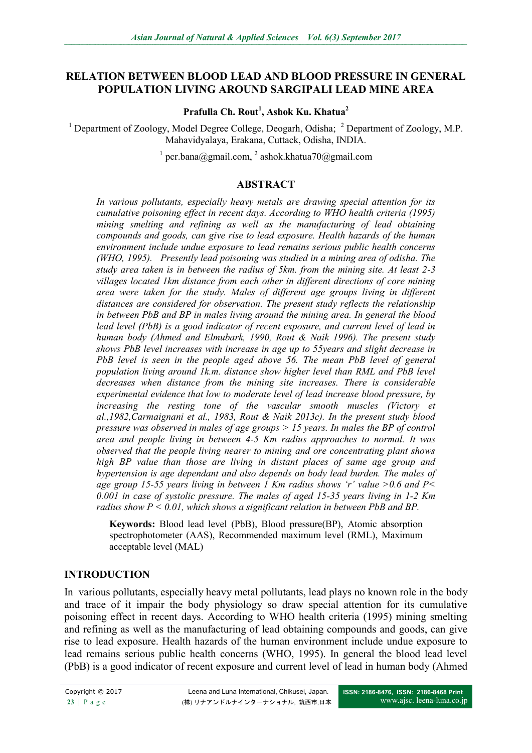## **RELATION BETWEEN BLOOD LEAD AND BLOOD PRESSURE IN GENERAL POPULATION LIVING AROUND SARGIPALI LEAD MINE AREA**

**Prafulla Ch. Rout<sup>1</sup> , Ashok Ku. Khatua<sup>2</sup>**

<sup>1</sup> Department of Zoology, Model Degree College, Deogarh, Odisha;  $^2$  Department of Zoology, M.P. Mahavidyalaya, Erakana, Cuttack, Odisha, INDIA.

<sup>1</sup> pcr.bana@gmail.com, <sup>2</sup> ashok.khatua70@gmail.com

### **ABSTRACT**

*In various pollutants, especially heavy metals are drawing special attention for its cumulative poisoning effect in recent days. According to WHO health criteria (1995) mining smelting and refining as well as the manufacturing of lead obtaining compounds and goods, can give rise to lead exposure. Health hazards of the human environment include undue exposure to lead remains serious public health concerns (WHO, 1995). Presently lead poisoning was studied in a mining area of odisha. The study area taken is in between the radius of 5km. from the mining site. At least 2-3 villages located 1km distance from each other in different directions of core mining area were taken for the study. Males of different age groups living in different distances are considered for observation. The present study reflects the relationship in between PbB and BP in males living around the mining area. In general the blood lead level (PbB) is a good indicator of recent exposure, and current level of lead in human body (Ahmed and Elmubark, 1990, Rout & Naik 1996). The present study shows PbB level increases with increase in age up to 55years and slight decrease in PbB level is seen in the people aged above 56. The mean PbB level of general population living around 1k.m. distance show higher level than RML and PbB level decreases when distance from the mining site increases. There is considerable experimental evidence that low to moderate level of lead increase blood pressure, by increasing the resting tone of the vascular smooth muscles (Victory et al.,1982,Carmaignani et al., 1983, Rout & Naik 2013c). In the present study blood pressure was observed in males of age groups > 15 years. In males the BP of control area and people living in between 4-5 Km radius approaches to normal. It was observed that the people living nearer to mining and ore concentrating plant shows high BP value than those are living in distant places of same age group and hypertension is age dependant and also depends on body lead burden. The males of age group 15-55 years living in between 1 Km radius shows 'r' value >0.6 and P< 0.001 in case of systolic pressure. The males of aged 15-35 years living in 1-2 Km radius show P < 0.01, which shows a significant relation in between PbB and BP.*

**Keywords:** Blood lead level (PbB), Blood pressure(BP), Atomic absorption spectrophotometer (AAS), Recommended maximum level (RML), Maximum acceptable level (MAL)

## **INTRODUCTION**

In various pollutants, especially heavy metal pollutants, lead plays no known role in the body and trace of it impair the body physiology so draw special attention for its cumulative poisoning effect in recent days. According to WHO health criteria (1995) mining smelting and refining as well as the manufacturing of lead obtaining compounds and goods, can give rise to lead exposure. Health hazards of the human environment include undue exposure to lead remains serious public health concerns (WHO, 1995). In general the blood lead level (PbB) is a good indicator of recent exposure and current level of lead in human body (Ahmed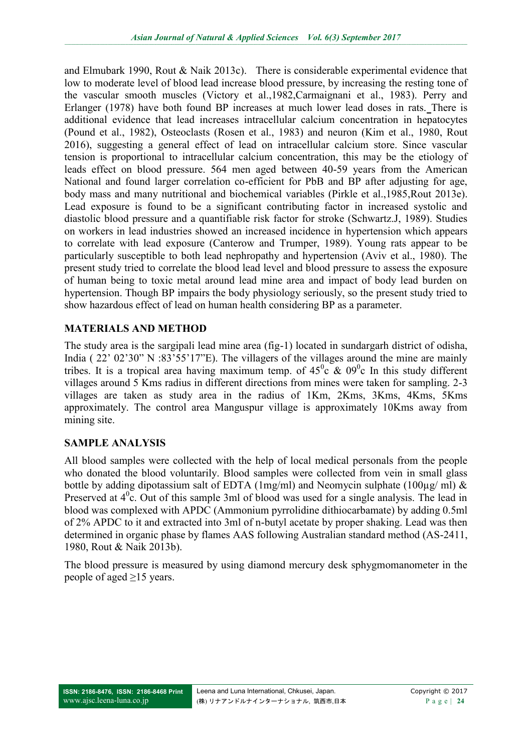and Elmubark 1990, Rout & Naik 2013c). There is considerable experimental evidence that low to moderate level of blood lead increase blood pressure, by increasing the resting tone of the vascular smooth muscles (Victory et al.,1982,Carmaignani et al., 1983). Perry and Erlanger (1978) have both found BP increases at much lower lead doses in rats. There is additional evidence that lead increases intracellular calcium concentration in hepatocytes (Pound et al., 1982), Osteoclasts (Rosen et al., 1983) and neuron (Kim et al., 1980, Rout 2016), suggesting a general effect of lead on intracellular calcium store. Since vascular tension is proportional to intracellular calcium concentration, this may be the etiology of leads effect on blood pressure. 564 men aged between 40-59 years from the American National and found larger correlation co-efficient for PbB and BP after adjusting for age, body mass and many nutritional and biochemical variables (Pirkle et al.,1985,Rout 2013e). Lead exposure is found to be a significant contributing factor in increased systolic and diastolic blood pressure and a quantifiable risk factor for stroke (Schwartz.J, 1989). Studies on workers in lead industries showed an increased incidence in hypertension which appears to correlate with lead exposure (Canterow and Trumper, 1989). Young rats appear to be particularly susceptible to both lead nephropathy and hypertension (Aviv et al., 1980). The present study tried to correlate the blood lead level and blood pressure to assess the exposure of human being to toxic metal around lead mine area and impact of body lead burden on hypertension. Though BP impairs the body physiology seriously, so the present study tried to show hazardous effect of lead on human health considering BP as a parameter.

## **MATERIALS AND METHOD**

The study area is the sargipali lead mine area (fig-1) located in sundargarh district of odisha, India ( 22' 02'30" N :83'55'17"E). The villagers of the villages around the mine are mainly tribes. It is a tropical area having maximum temp. of  $45^{\circ}$ c &  $09^{\circ}$ c In this study different villages around 5 Kms radius in different directions from mines were taken for sampling. 2-3 villages are taken as study area in the radius of 1Km, 2Kms, 3Kms, 4Kms, 5Kms approximately. The control area Manguspur village is approximately 10Kms away from mining site.

## **SAMPLE ANALYSIS**

All blood samples were collected with the help of local medical personals from the people who donated the blood voluntarily. Blood samples were collected from vein in small glass bottle by adding dipotassium salt of EDTA (1mg/ml) and Neomycin sulphate (100 $\mu$ g/ ml) & Preserved at  $4^{\circ}$ c. Out of this sample 3ml of blood was used for a single analysis. The lead in blood was complexed with APDC (Ammonium pyrrolidine dithiocarbamate) by adding 0.5ml of 2% APDC to it and extracted into 3ml of n-butyl acetate by proper shaking. Lead was then determined in organic phase by flames AAS following Australian standard method (AS-2411, 1980, Rout & Naik 2013b).

The blood pressure is measured by using diamond mercury desk sphygmomanometer in the people of aged  $\geq$ 15 years.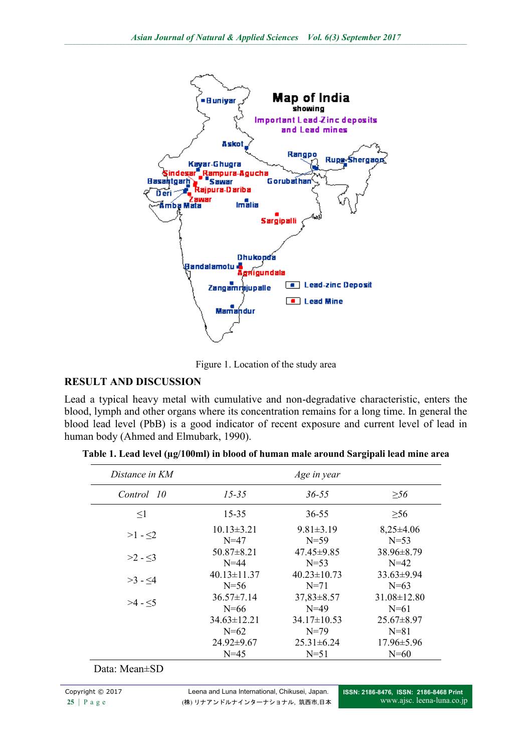

Figure 1. Location of the study area

# **RESULT AND DISCUSSION**

Lead a typical heavy metal with cumulative and non-degradative characteristic, enters the blood, lymph and other organs where its concentration remains for a long time. In general the blood lead level (PbB) is a good indicator of recent exposure and current level of lead in human body (Ahmed and Elmubark, 1990).

| Distance in KM |                   | Age in year       |                   |
|----------------|-------------------|-------------------|-------------------|
| Control 10     | $15 - 35$         | $36 - 55$         | $\geq 56$         |
| $\leq1$        | 15-35             | 36-55             | $\geq 56$         |
| $>1 - 2$       | $10.13 \pm 3.21$  | $9.81 \pm 3.19$   | $8,25\pm4.06$     |
|                | $N = 47$          | $N = 59$          | $N = 53$          |
| $>2 - 3$       | $50.87 \pm 8.21$  | $47.45\pm9.85$    | 38.96±8.79        |
|                | $N = 44$          | $N=53$            | $N = 42$          |
| $>3 - 4$       | $40.13 \pm 11.37$ | $40.23 \pm 10.73$ | $33.63\pm9.94$    |
|                | $N = 56$          | $N=71$            | $N=63$            |
| $>4 - 5$       | $36.57 \pm 7.14$  | $37,83 \pm 8.57$  | $31.08 \pm 12.80$ |
|                | $N = 66$          | $N = 49$          | $N = 61$          |
|                | $34.63 \pm 12.21$ | $34.17 \pm 10.53$ | $25.67 \pm 8.97$  |
|                | $N=62$            | $N=79$            | $N=81$            |
|                | 24.92±9.67        | $25.31 \pm 6.24$  | $17.96 \pm 5.96$  |
|                | $N = 45$          | $N=51$            | $N=60$            |

**Table 1. Lead level (µg/100ml) in blood of human male around Sargipali lead mine area**

# Data: Mean±SD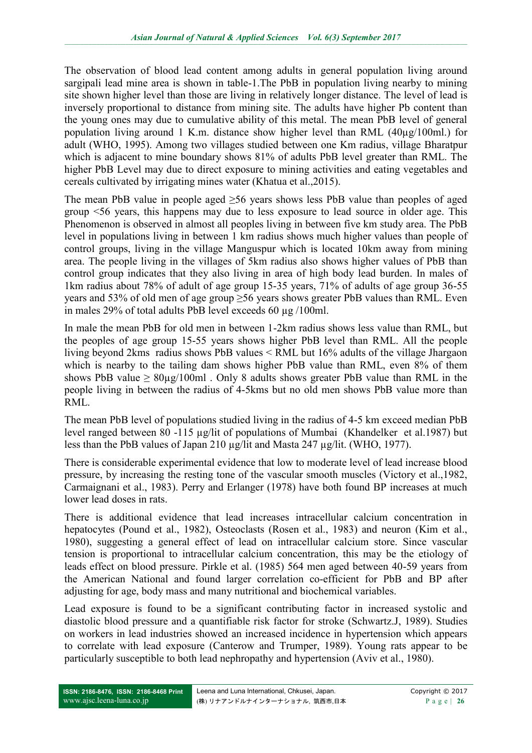The observation of blood lead content among adults in general population living around sargipali lead mine area is shown in table-1.The PbB in population living nearby to mining site shown higher level than those are living in relatively longer distance. The level of lead is inversely proportional to distance from mining site. The adults have higher Pb content than the young ones may due to cumulative ability of this metal. The mean PbB level of general population living around 1 K.m. distance show higher level than RML (40µg/100ml.) for adult (WHO, 1995). Among two villages studied between one Km radius, village Bharatpur which is adjacent to mine boundary shows 81% of adults PbB level greater than RML. The higher PbB Level may due to direct exposure to mining activities and eating vegetables and cereals cultivated by irrigating mines water (Khatua et al.,2015).

The mean PbB value in people aged ≥56 years shows less PbB value than peoples of aged group <56 years, this happens may due to less exposure to lead source in older age. This Phenomenon is observed in almost all peoples living in between five km study area. The PbB level in populations living in between 1 km radius shows much higher values than people of control groups, living in the village Manguspur which is located 10km away from mining area. The people living in the villages of 5km radius also shows higher values of PbB than control group indicates that they also living in area of high body lead burden. In males of 1km radius about 78% of adult of age group 15-35 years, 71% of adults of age group 36-55 years and 53% of old men of age group ≥56 years shows greater PbB values than RML. Even in males 29% of total adults PbB level exceeds 60 µg /100ml.

In male the mean PbB for old men in between 1-2km radius shows less value than RML, but the peoples of age group 15-55 years shows higher PbB level than RML. All the people living beyond 2kms radius shows PbB values < RML but 16% adults of the village Jhargaon which is nearby to the tailing dam shows higher PbB value than RML, even 8% of them shows PbB value  $\geq 80\mu g/100$ ml. Only 8 adults shows greater PbB value than RML in the people living in between the radius of 4-5kms but no old men shows PbB value more than RML.

The mean PbB level of populations studied living in the radius of 4-5 km exceed median PbB level ranged between 80 -115 µg/lit of populations of Mumbai (Khandelker et al.1987) but less than the PbB values of Japan 210 µg/lit and Masta 247 µg/lit. (WHO, 1977).

There is considerable experimental evidence that low to moderate level of lead increase blood pressure, by increasing the resting tone of the vascular smooth muscles (Victory et al.,1982, Carmaignani et al., 1983). Perry and Erlanger (1978) have both found BP increases at much lower lead doses in rats.

There is additional evidence that lead increases intracellular calcium concentration in hepatocytes (Pound et al., 1982), Osteoclasts (Rosen et al., 1983) and neuron (Kim et al., 1980), suggesting a general effect of lead on intracellular calcium store. Since vascular tension is proportional to intracellular calcium concentration, this may be the etiology of leads effect on blood pressure. Pirkle et al. (1985) 564 men aged between 40-59 years from the American National and found larger correlation co-efficient for PbB and BP after adjusting for age, body mass and many nutritional and biochemical variables.

Lead exposure is found to be a significant contributing factor in increased systolic and diastolic blood pressure and a quantifiable risk factor for stroke (Schwartz.J, 1989). Studies on workers in lead industries showed an increased incidence in hypertension which appears to correlate with lead exposure (Canterow and Trumper, 1989). Young rats appear to be particularly susceptible to both lead nephropathy and hypertension (Aviv et al., 1980).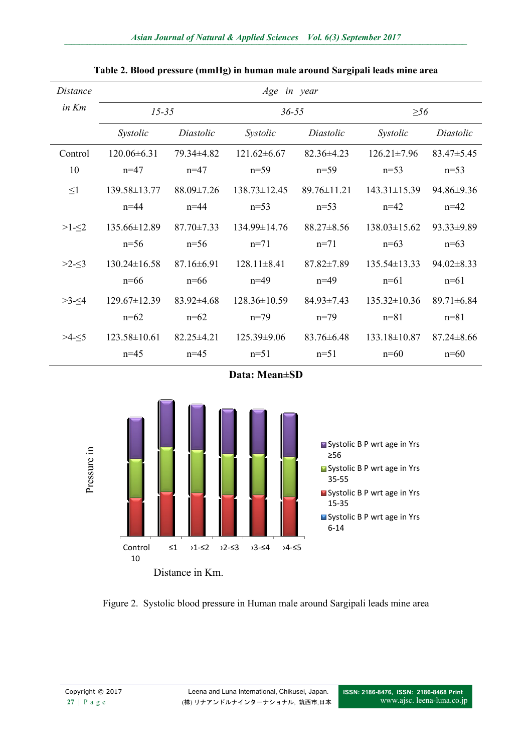| Distance | Age in year        |                  |                    |                  |                    |                  |
|----------|--------------------|------------------|--------------------|------------------|--------------------|------------------|
| in Km    | $15 - 35$          |                  | $36 - 55$          |                  | $\geq 56$          |                  |
|          | Systolic           | Diastolic        | Systolic           | Diastolic        | Systolic           | Diastolic        |
| Control  | $120.06\pm 6.31$   | 79.34 ± 4.82     | $121.62 \pm 6.67$  | $82.36\pm4.23$   | $12621 \pm 796$    | $83.47\pm5.45$   |
| 10       | $n=47$             | $n=47$           | $n=59$             | $n=59$           | $n=53$             | $n=53$           |
| $\leq1$  | 139.58±13.77       | $88.09 \pm 7.26$ | $138.73 \pm 12.45$ | $8976\pm1121$    | $143.31 \pm 15.39$ | 94.86±9.36       |
|          | $n = 44$           | $n = 44$         | $n=53$             | $n=53$           | $n=42$             | $n=42$           |
| $>1 - 2$ | 135.66±12.89       | $87.70 \pm 7.33$ | $134.99 \pm 14.76$ | $88.27 \pm 8.56$ | $138.03 \pm 15.62$ | $93.33 \pm 9.89$ |
|          | $n=56$             | $n=56$           | $n=71$             | $n=71$           | $n=63$             | $n=63$           |
| $>2-5$   | $130.24 \pm 16.58$ | $87.16 \pm 6.91$ | $128.11 \pm 8.41$  | $87.82 \pm 7.89$ | $135.54 \pm 13.33$ | $94.02 \pm 8.33$ |
|          | $n=66$             | $n=66$           | $n=49$             | $n=49$           | $n=61$             | $n=61$           |
| $>3-5/4$ | $129.67 \pm 12.39$ | $83.92 \pm 4.68$ | $128.36 \pm 10.59$ | $84.93 \pm 7.43$ | $135.32 \pm 10.36$ | $89.71 \pm 6.84$ |
|          | $n=62$             | $n=62$           | $n=79$             | $n=79$           | $n = 81$           | $n = 81$         |
| $>4-5$   | $123.58 \pm 10.61$ | $82.25 \pm 4.21$ | $125.39\pm9.06$    | $83.76 \pm 6.48$ | $133.18 \pm 10.87$ | $87.24 \pm 8.66$ |
|          | $n=45$             | $n=45$           | $n=51$             | $n=51$           | $n=60$             | $n=60$           |

#### **Table 2. Blood pressure (mmHg) in human male around Sargipali leads mine area**

**Data: Mean±SD**



Figure 2. Systolic blood pressure in Human male around Sargipali leads mine area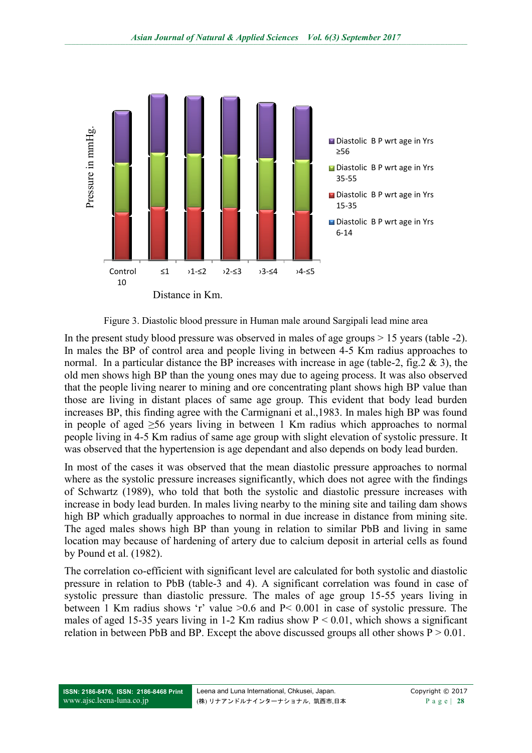

Figure 3. Diastolic blood pressure in Human male around Sargipali lead mine area

In the present study blood pressure was observed in males of age groups > 15 years (table -2). In males the BP of control area and people living in between 4-5 Km radius approaches to normal. In a particular distance the BP increases with increase in age (table-2, fig.  $2 \& 3$ ), the old men shows high BP than the young ones may due to ageing process. It was also observed that the people living nearer to mining and ore concentrating plant shows high BP value than those are living in distant places of same age group. This evident that body lead burden increases BP, this finding agree with the Carmignani et al.,1983. In males high BP was found in people of aged ≥56 years living in between 1 Km radius which approaches to normal people living in 4-5 Km radius of same age group with slight elevation of systolic pressure. It was observed that the hypertension is age dependant and also depends on body lead burden.

In most of the cases it was observed that the mean diastolic pressure approaches to normal where as the systolic pressure increases significantly, which does not agree with the findings of Schwartz (1989), who told that both the systolic and diastolic pressure increases with increase in body lead burden. In males living nearby to the mining site and tailing dam shows high BP which gradually approaches to normal in due increase in distance from mining site. The aged males shows high BP than young in relation to similar PbB and living in same location may because of hardening of artery due to calcium deposit in arterial cells as found by Pound et al. (1982).

The correlation co-efficient with significant level are calculated for both systolic and diastolic pressure in relation to PbB (table-3 and 4). A significant correlation was found in case of systolic pressure than diastolic pressure. The males of age group 15-55 years living in between 1 Km radius shows 'r' value >0.6 and P< 0.001 in case of systolic pressure. The males of aged 15-35 years living in 1-2 Km radius show  $P < 0.01$ , which shows a significant relation in between PbB and BP. Except the above discussed groups all other shows  $P > 0.01$ .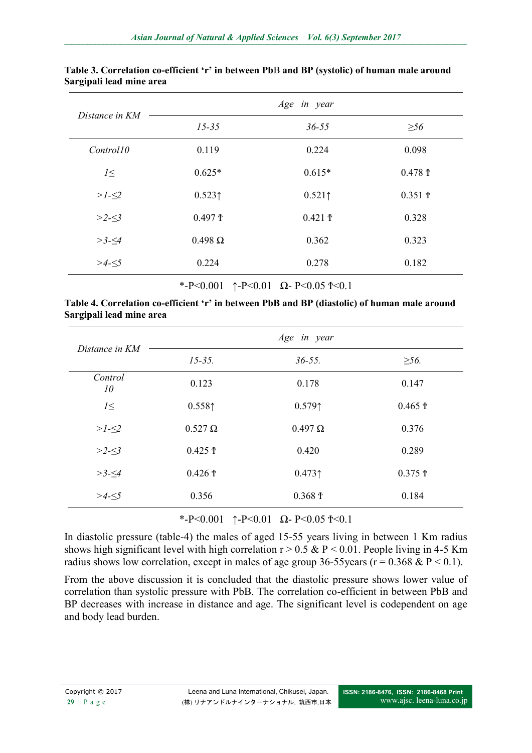| Distance in KM | Age in year    |           |                       |  |
|----------------|----------------|-----------|-----------------------|--|
|                | $15 - 35$      | $36 - 55$ | $\geq 56$             |  |
| Control10      | 0.119          | 0.224     | 0.098                 |  |
| $l \leq$       | $0.625*$       | $0.615*$  | $0.478 \text{ } \tau$ |  |
| $>1-52$        | 0.523          | 0.521     | 0.351 f               |  |
| $>2-53$        | 0.497 f        | 0.421 f   | 0.328                 |  |
| $>3-\leq 4$    | $0.498 \Omega$ | 0.362     | 0.323                 |  |
| $>4-5$         | 0.224          | 0.278     | 0.182                 |  |

#### **Table 3. Correlation co-efficient 'r' in between Pb**B **and BP (systolic) of human male around Sargipali lead mine area**

\*-P<0.001 ↑-P<0.01  $\Omega$ -P<0.05 ↑<0.1

|                          | Table 4. Correlation co-efficient 'r' in between PbB and BP (diastolic) of human male around |
|--------------------------|----------------------------------------------------------------------------------------------|
| Sargipali lead mine area |                                                                                              |

| Distance in KM | Age in year    |                          |                  |  |
|----------------|----------------|--------------------------|------------------|--|
|                | $15 - 35.$     | $36 - 55$ .              | $\geq 56$ .      |  |
| Control<br>10  | 0.123          | 0.178                    | 0.147            |  |
| $l \leq$       | $0.558$ ↑      | 0.579                    | $0.465 \text{ }$ |  |
| $>1-52$        | $0.527 \Omega$ | $0.497 \Omega$           | 0.376            |  |
| $>2-53$        | 0.425 f        | 0.420                    | 0.289            |  |
| $>3-5/4$       | 0.426 f        | 0.473                    | 0.375 f          |  |
| $>4-5$         | 0.356          | $0.368 \text{ } \bar{T}$ | 0.184            |  |

\*-P<0.001 ↑-P<0.01  $\Omega$ -P<0.05 ↑<0.1

In diastolic pressure (table-4) the males of aged 15-55 years living in between 1 Km radius shows high significant level with high correlation  $r > 0.5 \& P \le 0.01$ . People living in 4-5 Km radius shows low correlation, except in males of age group 36-55 years ( $r = 0.368 \& P \le 0.1$ ).

From the above discussion it is concluded that the diastolic pressure shows lower value of correlation than systolic pressure with PbB. The correlation co-efficient in between PbB and BP decreases with increase in distance and age. The significant level is codependent on age and body lead burden.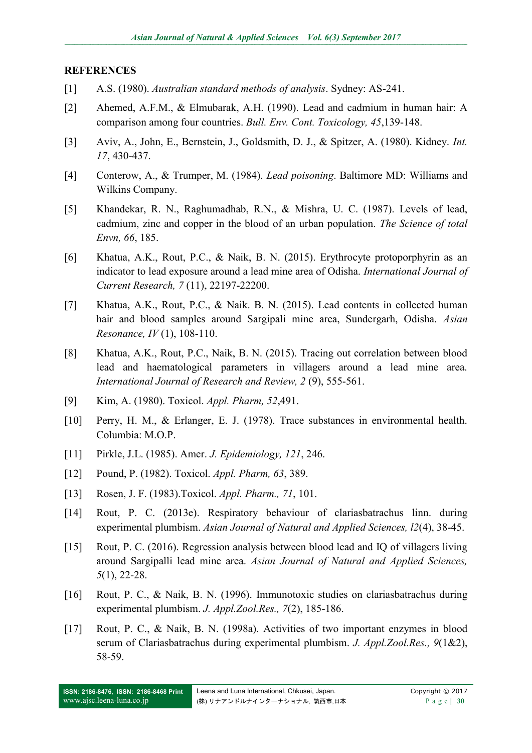#### **REFERENCES**

- [1] A.S. (1980). *Australian standard methods of analysis*. Sydney: AS-241.
- [2] Ahemed, A.F.M., & Elmubarak, A.H. (1990). Lead and cadmium in human hair: A comparison among four countries. *Bull. Env. Cont. Toxicology, 45*,139-148.
- [3] Aviv, A., John, E., Bernstein, J., Goldsmith, D. J., & Spitzer, A. (1980). Kidney. *Int. 17*, 430-437.
- [4] Conterow, A., & Trumper, M. (1984). *Lead poisoning*. Baltimore MD: Williams and Wilkins Company.
- [5] Khandekar, R. N., Raghumadhab, R.N., & Mishra, U. C. (1987). Levels of lead, cadmium, zinc and copper in the blood of an urban population. *The Science of total Envn, 66*, 185.
- [6] Khatua, A.K., Rout, P.C., & Naik, B. N. (2015). Erythrocyte protoporphyrin as an indicator to lead exposure around a lead mine area of Odisha. *International Journal of Current Research, 7* (11), 22197-22200.
- [7] Khatua, A.K., Rout, P.C., & Naik. B. N. (2015). Lead contents in collected human hair and blood samples around Sargipali mine area, Sundergarh, Odisha. *Asian Resonance, IV* (1), 108-110.
- [8] Khatua, A.K., Rout, P.C., Naik, B. N. (2015). Tracing out correlation between blood lead and haematological parameters in villagers around a lead mine area. *International Journal of Research and Review, 2* (9), 555-561.
- [9] Kim, A. (1980). Toxicol. *Appl. Pharm, 52*,491.
- [10] Perry, H. M., & Erlanger, E. J. (1978). Trace substances in environmental health. Columbia: M.O.P.
- [11] Pirkle, J.L. (1985). Amer. *J. Epidemiology, 121*, 246.
- [12] Pound, P. (1982). Toxicol. *Appl. Pharm, 63*, 389.
- [13] Rosen, J. F. (1983).Toxicol. *Appl. Pharm., 71*, 101.
- [14] Rout, P. C. (2013e). Respiratory behaviour of clariasbatrachus linn. during experimental plumbism. *Asian Journal of Natural and Applied Sciences, l2*(4), 38-45.
- [15] Rout, P. C. (2016). Regression analysis between blood lead and IQ of villagers living around Sargipalli lead mine area. *Asian Journal of Natural and Applied Sciences, 5*(1), 22-28.
- [16] Rout, P. C., & Naik, B. N. (1996). Immunotoxic studies on clariasbatrachus during experimental plumbism. *J. Appl.Zool.Res., 7*(2), 185-186.
- [17] Rout, P. C., & Naik, B. N. (1998a). Activities of two important enzymes in blood serum of Clariasbatrachus during experimental plumbism. *J. Appl.Zool.Res., 9*(1&2), 58-59.